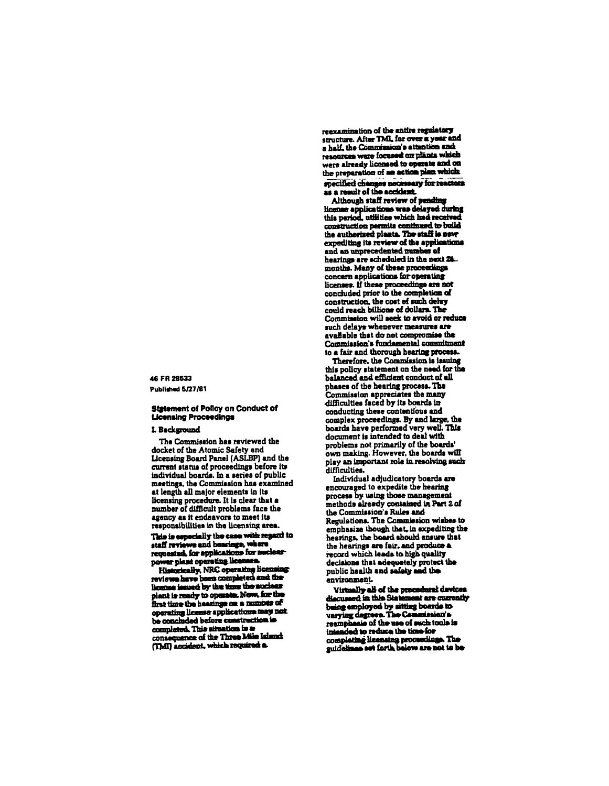## 46 FR 28533 Published 5/27/81

### **Statement of Policy on Conduct of Licensing Proceedings**

### L Background

The Commission has reviewed the docket of the Atomic Safety and Licensing Board Panel (ASLBP) and the current status of proceedings before its individual boards. In a series of public meetings, the Commission has examined at length all major elements in its licensing procedure. It is clear that a number of difficult problems face the agency as it endeavors to meet its responsibilities in the licensing area.

This is especially the case with reason to staff reviews and hearings, where requested, for applications for nuclear power plant operating licenses

Historically, NRC operating licensing reviews have been completed and the license issued by the time the suclear plant is ready to operate. Now, for the first time the hearings on a number of operating license applications may not be concluded before construction is completed. This situation in a consequence of the Three Mile Island (TMI) accident, which required a

reexamination of the entire regulatory structure. After TML for over a year and a half, the Commission's attention and resources were focused on plants which were already licensed to operate and on specified changes necessary for reactors as a result of the accident.

Although staff review of pending license applications was delayed during this period, utilities which had received construction permits continued to build the authorized plants. The staff is new expediting its review of the applications and an unprecedented number of hearings are scheduled in the next 24. months. Many of these proceedings concern applications for operating licenses. If these proceedings are not concluded prior to the completion of construction, the cost of such delay could reach billions of dollars. The Commission will seek to avoid or reduce such delays whenever measures are available that do not compromise the Commission's fundamental commitment to a fair and thorough hearing process.

Therefore, the Commission is issuing this policy statement on the need for the balanced and efficient conduct of all phases of the hearing process. The Commission appreciates the many difficulties faced by its boards in conducting these contentious and complex proceedings. By and large, the boards have performed very well. This document is intended to deal with problems not primarily of the boards' own making. However, the boards will play an important role in resolving such difficulties.

Individual adjudicatory boards are encouraged to expedite the hearing process by using those management methods already contained in Part 2 of the Commission's Rules and Regulations. The Commission wishes to emphasize though that, in expediting the hearings, the board should ensure that the hearings are fair, and produce a decisions that adequately protect the public health and safety and the .<br>environment

Virtually all of the procedural devices discussed in this Statement are currently being employed by sitting boards to varying dagrees. The Commission's intended to reduce the time for completing licensing proceedings. The guidelines set forth below are not to be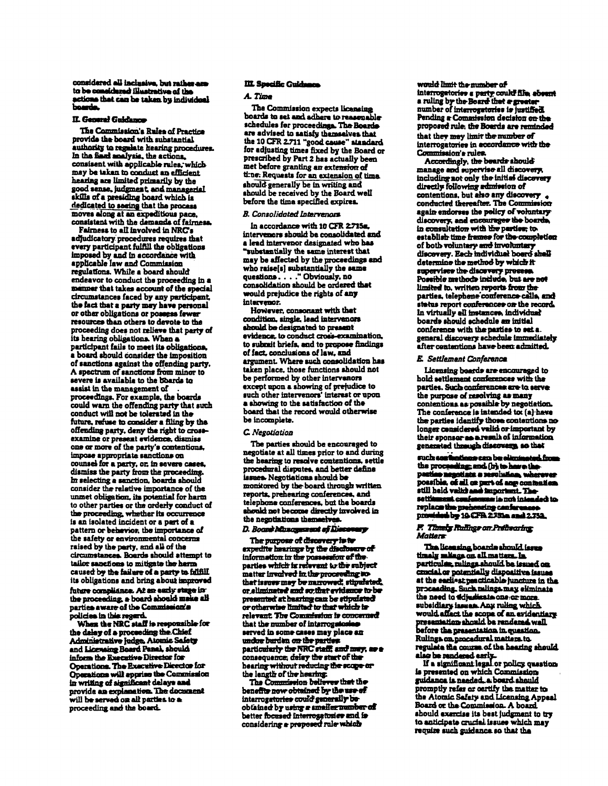# considered all inclusive, but rather and<br>to be considered illustrative of the actions that can be taken by individual boarde.

## II. General Guidance

The Commission's Rules of Practice provide the board with substantial authority to regulate hearing procedures.<br>In the fiast analysis, the actions, consisent with applicable rules, which may be taken to conduct an efficient hearing are limited primarily by the good sense, judgment, and managerial skills of a presiding board which is dedicated to seeing that the process moves along at an expeditious pace, consistent with the demands of fairness.

Fairness to all involved in NRC's adjudicatory procedures requires that every participant fulfill the obligations imposed by and in accordance with applicable law and Commission regulations. While a board should endeavor to conduct the proceeding in a menner that takes account of the special circumstances faced by any participent. the fact that a party may have personal or other obligations or possess fewer resources than others to devote to the proceeding does not relieve that party of its hearing obligations. When a participant fails to meet its obligations. a board should consider the imposition of sanctions against the offending party. A spectrum of sanctions from minor to severe is available to the boards to assist in the management of proceedings. For example, the boards could warn the offending party that such conduct will not be tolerated in the future, refuse to consider a filing by the offending party, deny the right to crossexamine or present evidence, dismiss one or more of the party's contentions. impose appropriate sanctions on counsel for a party, or, in severe cases, dismiss the party from the proceeding. In selecting a sanction, boards should consider the relative importance of the unmet obligation, its potential for harm to other parties or the orderly conduct of the proceeding, whether its occurrence is an isolated incident or a part of a pattern or behavior, the importance of the safety or environmental concerns raised by the party, and all of the circumstances. Boards should attempt to tailor sanctions to mitigate the herm caused by the failure of a party to fillfill its obligations and bring about improved future compliance. At an early stage inthe proceeding, a board should make all parties aware of the Commission's policies in this regard.

When the NRC staff is responsible for the delay of a proceeding the Chief Administrative Judge, Atomic Safety and Licensing Board Panel, should inform the Executive Director for Operations. The Executive Director for Operations will apprise the Commission in writing of significant delays and provide an explanation. The document will be served on all parties to a proceeding and the board.

### III. Specific Guidanca

### A. Time

The Commission expects licensing boards to set and adhere to reasonable schedules for proceedings. The Boardsare advised to satisfy themselves that the 10 CFR 2.711 "good cause" standard for adjusting times fixed by the Board or prescribed by Part 2 has actually been met before granting an extension of tine. Requests for an extension of time. should generally be in writing and should be received by the Board well before the time specified expires.

### **B. Consolidated Intervenors**

In accordance with 10 CFR 2715s. intervenors should be consolidated and a lead intervenor designated who has "substantially the same interest that may be affected by the proceedings and who raise[s] substantially the same questions...." Obviously, no consolidation should be ordered that would prejudice the rights of any intervenor.

However, consonant with thet condition, single, lead intervenors should be designated to present evidence, to conduct cross-examination, to submit briefs, and to propose findings of fact, conclusions of law, and argument. Where such consolidation has taken place, those functions should not be performed by other intervenors except upon a showing of prejudice to such other intervenors' interest or upon a showing to the satisfaction of the board that the record would otherwise be incomplete.

### C. Negotiation

The parties should be encouraged to negotiate at all times prior to and during the hearing to resolve contentions, settle procedural disputes, and better define issues. Negotiations should be monitored by the board through written reports, prehearing conferences, and telephone conferences, but the boards should not become directly involved in the negotiations themselves

## D. Board Minagement of Discovery

The purpose of discovery is to expedite hearings by the dischesses of information in the possession of the parties which is relevant to the subject matter involved in the proceeding sothat issues may be narrowed, stipulated, or aliminated and so that evidence to be presented at hearing can be stipulated or otherwise limited to that which is relevant. The Commission is concerned that the number of interrogularia served in some cases may place an undue burden on the parties.<br>particularly the NRC staff, and may, as a consequence, delay the start of the hearing without reducing the scope or the length of the hearing.<br>The Commission believes that the

benefits now obtained by the use of interrogatories could generally beobtained by using a smaller number of better focused interrogetories and is considering a proposed rule which

would limit the number of interrogatories a party could file absent a ruling by the Board that a greater Pending a Commission decision on the proposed rule, the Boards are reminded that they may limit the number of interrogatories in accordance with the Commission's rules.

Accordingly, the beards should manage and supervise all discovery, including not only the initial discovery directly following admission of contentions, but also any discovery conducted thereafter. The Commission again endorses the policy of voluntary discovery, and encourages the boards in consultation with the parties; to establish time frames for the completion of both voluntary and involuntary discovery. Each individual board shall determine the method by which it supervises the discovery presens.<br>Possible methods include, but are not limited to, written reports from the parties, telephene conference calls, and status report conferences on the record. In virtually all instances, individual boards should schedule an initial conference with the parties to set a. general discovery schedule immediately after contentions have been admitted.

### E. Settlement Conference

Licensing boards are encouraged to hold settlement conferences with the parties. Such conferences are to serve the purpose of resolving as many contentions as possible by negotiation. The conference is intended to (a) have the parties identify those contentions no longer considered valid or important by their sponsor as a result of information generated through discovery, so that

such son fantions can be oliminated from the proceeding; and (b) to have the pactico negotista a resolution, whereve possible, of all on put of ang contention<br>still held valid and important. The<br>settlement confessions is not intended to<br>replace the prehensing conferences. provided by 10 CPA 2751a and 2.752.

#### P. Thunky Rudings on Pretisering Matters

The licensing boards should issue<br>timely main on all matters. In particulae, rulings should be issued on crucial or potentially dispositive issues at the earliest psecticable juncture in the proceeding. Such relings may eliminate the need to ddjudicate one: or more subsidiary issues. Any ruling which would affect the scope of an avidentiary<br>presentation should be rendered well.<br>before the presentation in question. Rulings on procedural matters to regulate the course of the hearing should slag be rendered early.<br>If a significant legal or policy question

is presented on which Commission guidance is needed, a board should promptly refer or oertify the matter to the Atomic Safety and Licensing Appeal Board or the Commission. A board should exercise its best judgment to try to anticipate crucial issues which may require such guidance so that the